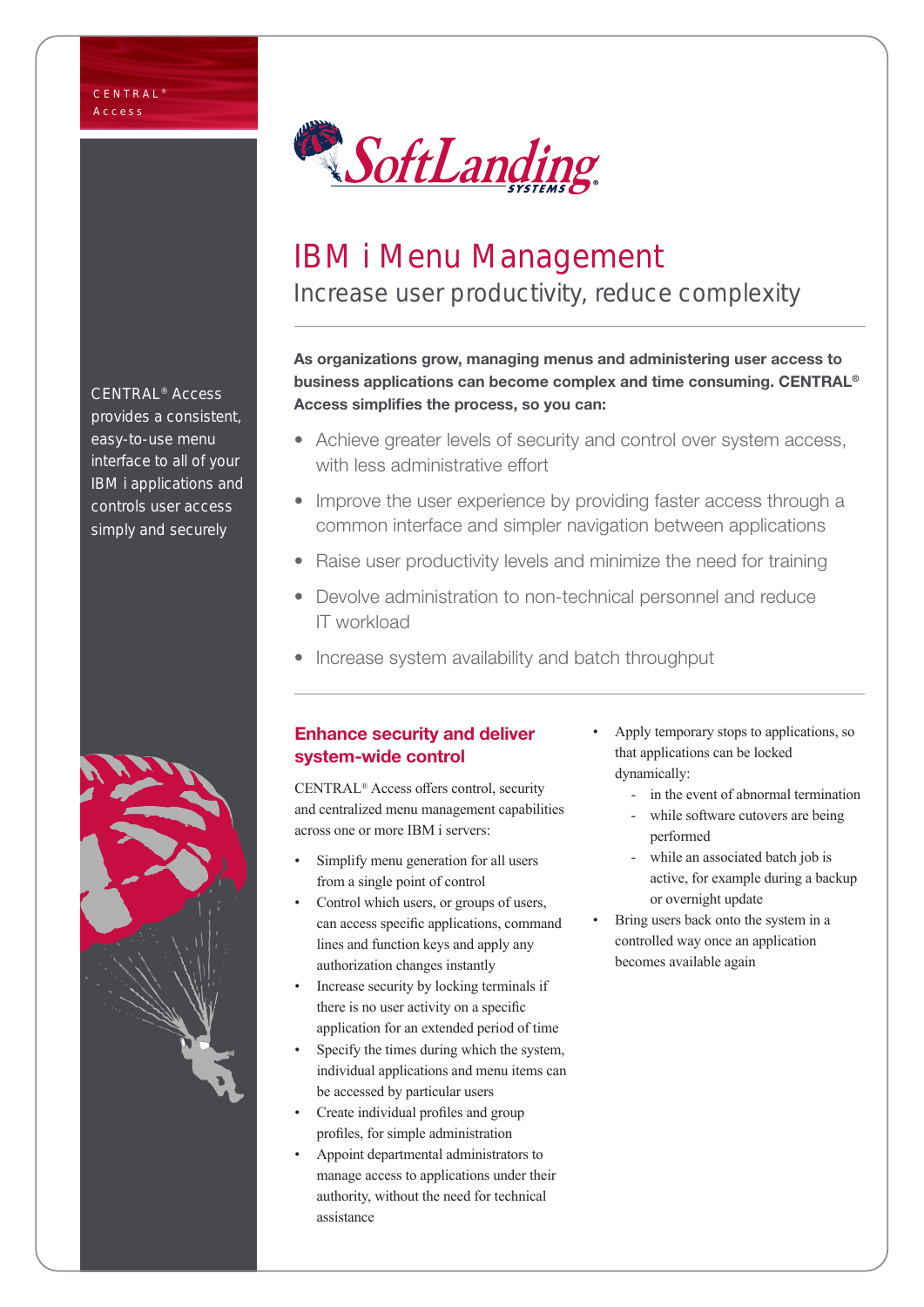

# IBM i Menu Management Increase user productivity, reduce complexity

### As organizations grow, managing menus and administering user access to business applications can become complex and time consuming. CENTRAL® Access simplifies the process, so you can:

- Achieve greater levels of security and control over system access, with less administrative effort
- Improve the user experience by providing faster access through a common interface and simpler navigation between applications
- Raise user productivity levels and minimize the need for training
- Devolve administration to non-technical personnel and reduce IT workload
- Increase system availability and batch throughput

## Enhance security and deliver system-wide control

CENTRAL® Access offers control, security and centralized menu management capabilities across one or more IBM i servers:

- Simplify menu generation for all users from a single point of control
- Control which users, or groups of users, can access specific applications, command lines and function keys and apply any authorization changes instantly
- Increase security by locking terminals if there is no user activity on a specific application for an extended period of time
- Specify the times during which the system, individual applications and menu items can be accessed by particular users
- Create individual profiles and group profiles, for simple administration
- Appoint departmental administrators to manage access to applications under their authority, without the need for technical assistance
- Apply temporary stops to applications, so that applications can be locked dynamically:
	- in the event of abnormal termination
	- while software cutovers are being performed
	- while an associated batch job is active, for example during a backup or overnight update
- Bring users back onto the system in a controlled way once an application becomes available again

CENTRAL® Access provides a consistent, easy-to-use menu interface to all of your IBM i applications and controls user access simply and securely